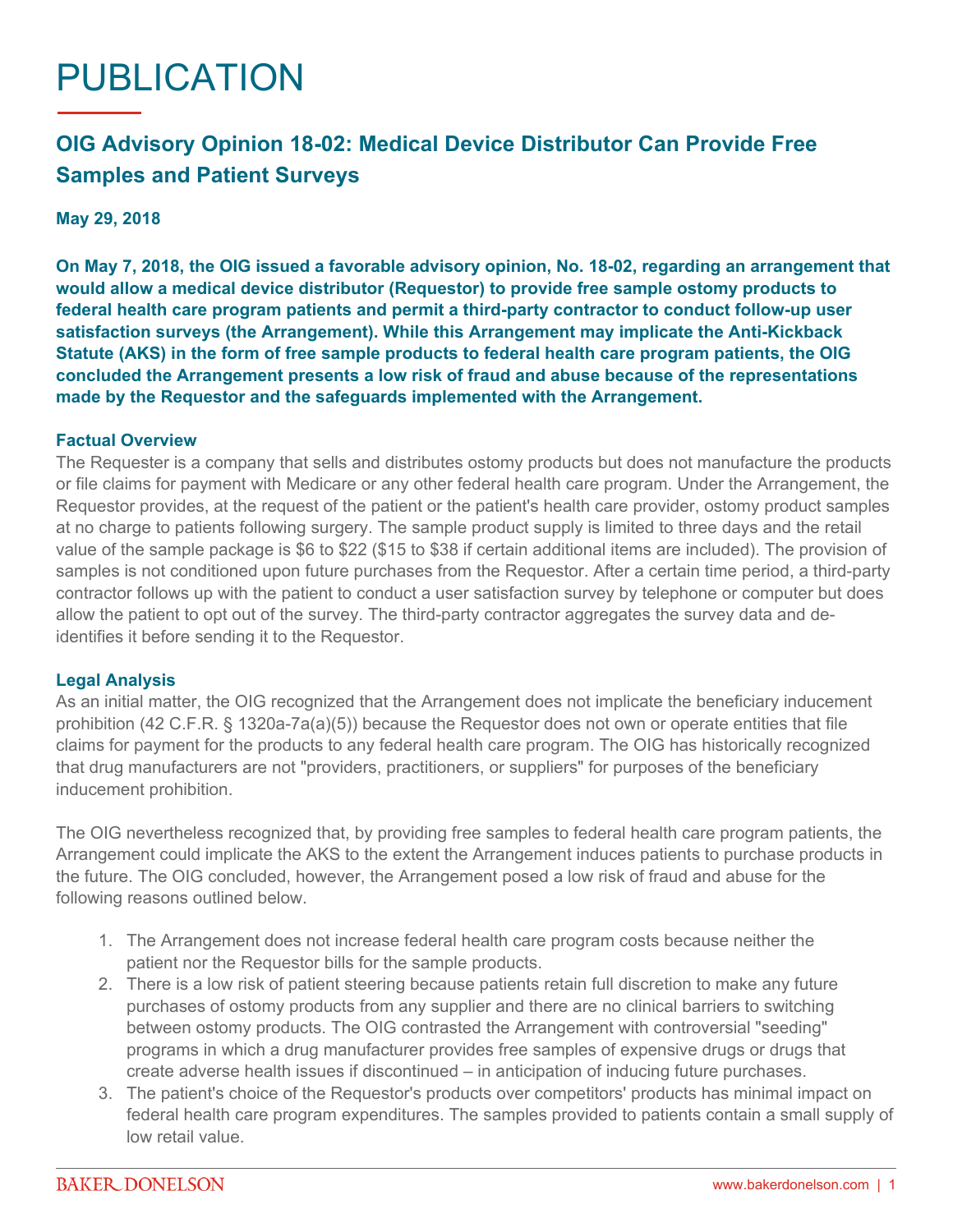# PUBLICATION

## **OIG Advisory Opinion 18-02: Medical Device Distributor Can Provide Free Samples and Patient Surveys**

**May 29, 2018**

**On May 7, 2018, the OIG issued a favorable advisory opinion, [No. 18-02](https://oig.hhs.gov/fraud/docs/advisoryopinions/2018/AdvOpn18-02.pdf), regarding an arrangement that would allow a medical device distributor (Requestor) to provide free sample ostomy products to federal health care program patients and permit a third-party contractor to conduct follow-up user satisfaction surveys (the Arrangement). While this Arrangement may implicate the Anti-Kickback Statute (AKS) in the form of free sample products to federal health care program patients, the OIG concluded the Arrangement presents a low risk of fraud and abuse because of the representations made by the Requestor and the safeguards implemented with the Arrangement.**

#### **Factual Overview**

The Requester is a company that sells and distributes ostomy products but does not manufacture the products or file claims for payment with Medicare or any other federal health care program. Under the Arrangement, the Requestor provides, at the request of the patient or the patient's health care provider, ostomy product samples at no charge to patients following surgery. The sample product supply is limited to three days and the retail value of the sample package is \$6 to \$22 (\$15 to \$38 if certain additional items are included). The provision of samples is not conditioned upon future purchases from the Requestor. After a certain time period, a third-party contractor follows up with the patient to conduct a user satisfaction survey by telephone or computer but does allow the patient to opt out of the survey. The third-party contractor aggregates the survey data and deidentifies it before sending it to the Requestor.

#### **Legal Analysis**

As an initial matter, the OIG recognized that the Arrangement does not implicate the beneficiary inducement prohibition (42 C.F.R. § 1320a-7a(a)(5)) because the Requestor does not own or operate entities that file claims for payment for the products to any federal health care program. The OIG has historically recognized that drug manufacturers are not "providers, practitioners, or suppliers" for purposes of the beneficiary inducement prohibition.

The OIG nevertheless recognized that, by providing free samples to federal health care program patients, the Arrangement could implicate the AKS to the extent the Arrangement induces patients to purchase products in the future. The OIG concluded, however, the Arrangement posed a low risk of fraud and abuse for the following reasons outlined below.

- 1. The Arrangement does not increase federal health care program costs because neither the patient nor the Requestor bills for the sample products.
- 2. There is a low risk of patient steering because patients retain full discretion to make any future purchases of ostomy products from any supplier and there are no clinical barriers to switching between ostomy products. The OIG contrasted the Arrangement with controversial "seeding" programs in which a drug manufacturer provides free samples of expensive drugs or drugs that create adverse health issues if discontinued – in anticipation of inducing future purchases.
- 3. The patient's choice of the Requestor's products over competitors' products has minimal impact on federal health care program expenditures. The samples provided to patients contain a small supply of low retail value.